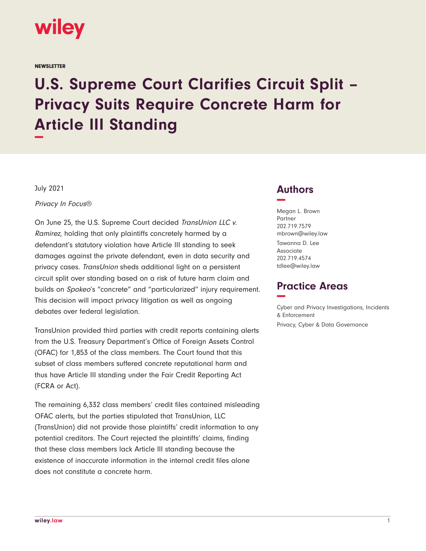

**NEWSLETTER** 

# **U.S. Supreme Court Clarifies Circuit Split – Privacy Suits Require Concrete Harm for Article III Standing −**

July 2021

Privacy In Focus®

On June 25, the U.S. Supreme Court decided TransUnion LLC v. Ramirez, holding that only plaintiffs concretely harmed by a defendant's statutory violation have Article III standing to seek damages against the private defendant, even in data security and privacy cases. TransUnion sheds additional light on a persistent circuit split over standing based on a risk of future harm claim and builds on Spokeo's "concrete" and "particularized" injury requirement. This decision will impact privacy litigation as well as ongoing debates over federal legislation.

TransUnion provided third parties with credit reports containing alerts from the U.S. Treasury Department's Office of Foreign Assets Control (OFAC) for 1,853 of the class members. The Court found that this subset of class members suffered concrete reputational harm and thus have Article III standing under the Fair Credit Reporting Act (FCRA or Act).

The remaining 6,332 class members' credit files contained misleading OFAC alerts, but the parties stipulated that TransUnion, LLC (TransUnion) did not provide those plaintiffs' credit information to any potential creditors. The Court rejected the plaintiffs' claims, finding that these class members lack Article III standing because the existence of inaccurate information in the internal credit files alone does not constitute a concrete harm.

### **Authors −**

Megan L. Brown Partner 202.719.7579 mbrown@wiley.law Tawanna D. Lee Associate 202.719.4574 tdlee@wiley.law

## **Practice Areas −**

Cyber and Privacy Investigations, Incidents & Enforcement Privacy, Cyber & Data Governance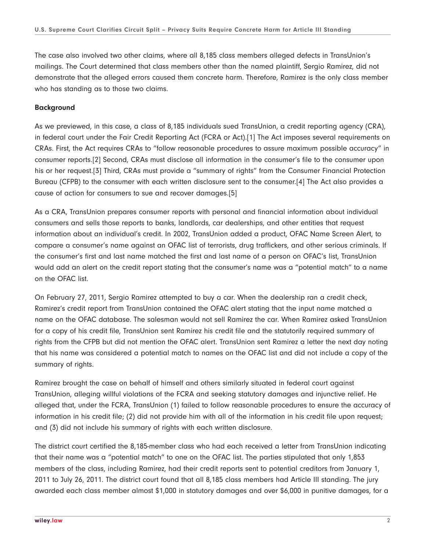The case also involved two other claims, where all 8,185 class members alleged defects in TransUnion's mailings. The Court determined that class members other than the named plaintiff, Sergio Ramirez, did not demonstrate that the alleged errors caused them concrete harm. Therefore, Ramirez is the only class member who has standing as to those two claims.

#### **Background**

As we previewed, in this case, a class of 8,185 individuals sued TransUnion, a credit reporting agency (CRA), in federal court under the Fair Credit Reporting Act (FCRA or Act).[1] The Act imposes several requirements on CRAs. First, the Act requires CRAs to "follow reasonable procedures to assure maximum possible accuracy" in consumer reports.[2] Second, CRAs must disclose all information in the consumer's file to the consumer upon his or her request.[3] Third, CRAs must provide a "summary of rights" from the Consumer Financial Protection Bureau (CFPB) to the consumer with each written disclosure sent to the consumer.[4] The Act also provides a cause of action for consumers to sue and recover damages.[5]

As a CRA, TransUnion prepares consumer reports with personal and financial information about individual consumers and sells those reports to banks, landlords, car dealerships, and other entities that request information about an individual's credit. In 2002, TransUnion added a product, OFAC Name Screen Alert, to compare a consumer's name against an OFAC list of terrorists, drug traffickers, and other serious criminals. If the consumer's first and last name matched the first and last name of a person on OFAC's list, TransUnion would add an alert on the credit report stating that the consumer's name was a "potential match" to a name on the OFAC list.

On February 27, 2011, Sergio Ramirez attempted to buy a car. When the dealership ran a credit check, Ramirez's credit report from TransUnion contained the OFAC alert stating that the input name matched a name on the OFAC database. The salesman would not sell Ramirez the car. When Ramirez asked TransUnion for a copy of his credit file, TransUnion sent Ramirez his credit file and the statutorily required summary of rights from the CFPB but did not mention the OFAC alert. TransUnion sent Ramirez a letter the next day noting that his name was considered a potential match to names on the OFAC list and did not include a copy of the summary of rights.

Ramirez brought the case on behalf of himself and others similarly situated in federal court against TransUnion, alleging willful violations of the FCRA and seeking statutory damages and injunctive relief. He alleged that, under the FCRA, TransUnion (1) failed to follow reasonable procedures to ensure the accuracy of information in his credit file; (2) did not provide him with all of the information in his credit file upon request; and (3) did not include his summary of rights with each written disclosure.

The district court certified the 8,185-member class who had each received a letter from TransUnion indicating that their name was a "potential match" to one on the OFAC list. The parties stipulated that only 1,853 members of the class, including Ramirez, had their credit reports sent to potential creditors from January 1, 2011 to July 26, 2011. The district court found that all 8,185 class members had Article III standing. The jury awarded each class member almost \$1,000 in statutory damages and over \$6,000 in punitive damages, for a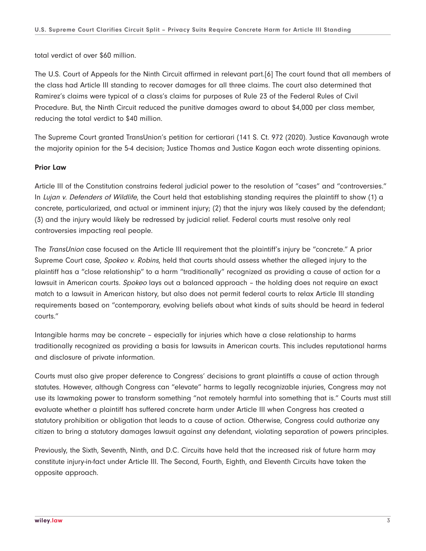total verdict of over \$60 million.

The U.S. Court of Appeals for the Ninth Circuit affirmed in relevant part.[6] The court found that all members of the class had Article III standing to recover damages for all three claims. The court also determined that Ramirez's claims were typical of a class's claims for purposes of Rule 23 of the Federal Rules of Civil Procedure. But, the Ninth Circuit reduced the punitive damages award to about \$4,000 per class member, reducing the total verdict to \$40 million.

The Supreme Court granted TransUnion's petition for certiorari (141 S. Ct. 972 (2020). Justice Kavanaugh wrote the majority opinion for the 5-4 decision; Justice Thomas and Justice Kagan each wrote dissenting opinions.

#### **Prior Law**

Article III of the Constitution constrains federal judicial power to the resolution of "cases" and "controversies." In Lujan v. Defenders of Wildlife, the Court held that establishing standing requires the plaintiff to show (1) a concrete, particularized, and actual or imminent injury; (2) that the injury was likely caused by the defendant; (3) and the injury would likely be redressed by judicial relief. Federal courts must resolve only real controversies impacting real people.

The *TransUnion* case focused on the Article III requirement that the plaintiff's injury be "concrete." A prior Supreme Court case, Spokeo v. Robins, held that courts should assess whether the alleged injury to the plaintiff has a "close relationship" to a harm "traditionally" recognized as providing a cause of action for a lawsuit in American courts. Spokeo lays out a balanced approach - the holding does not require an exact match to a lawsuit in American history, but also does not permit federal courts to relax Article III standing requirements based on "contemporary, evolving beliefs about what kinds of suits should be heard in federal courts."

Intangible harms may be concrete – especially for injuries which have a close relationship to harms traditionally recognized as providing a basis for lawsuits in American courts. This includes reputational harms and disclosure of private information.

Courts must also give proper deference to Congress' decisions to grant plaintiffs a cause of action through statutes. However, although Congress can "elevate" harms to legally recognizable injuries, Congress may not use its lawmaking power to transform something "not remotely harmful into something that is." Courts must still evaluate whether a plaintiff has suffered concrete harm under Article III when Congress has created a statutory prohibition or obligation that leads to a cause of action. Otherwise, Congress could authorize any citizen to bring a statutory damages lawsuit against any defendant, violating separation of powers principles.

Previously, the Sixth, Seventh, Ninth, and D.C. Circuits have held that the increased risk of future harm may constitute injury-in-fact under Article III. The Second, Fourth, Eighth, and Eleventh Circuits have taken the opposite approach.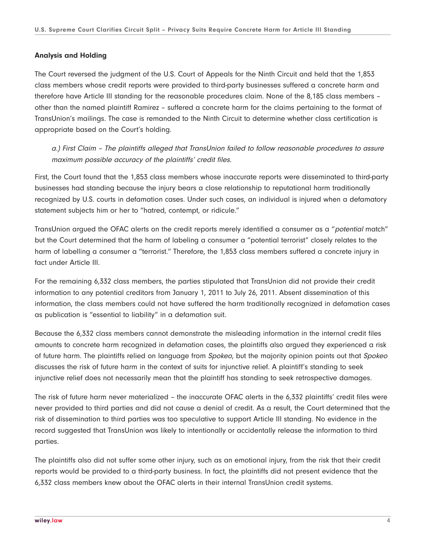#### **Analysis and Holding**

The Court reversed the judgment of the U.S. Court of Appeals for the Ninth Circuit and held that the 1,853 class members whose credit reports were provided to third-party businesses suffered a concrete harm and therefore have Article III standing for the reasonable procedures claim. None of the 8,185 class members – other than the named plaintiff Ramirez – suffered a concrete harm for the claims pertaining to the format of TransUnion's mailings. The case is remanded to the Ninth Circuit to determine whether class certification is appropriate based on the Court's holding.

a.) First Claim – The plaintiffs alleged that TransUnion failed to follow reasonable procedures to assure maximum possible accuracy of the plaintiffs' credit files.

First, the Court found that the 1,853 class members whose inaccurate reports were disseminated to third-party businesses had standing because the injury bears a close relationship to reputational harm traditionally recognized by U.S. courts in defamation cases. Under such cases, an individual is injured when a defamatory statement subjects him or her to "hatred, contempt, or ridicule."

TransUnion argued the OFAC alerts on the credit reports merely identified a consumer as a "potential match" but the Court determined that the harm of labeling a consumer a "potential terrorist" closely relates to the harm of labelling a consumer a "terrorist." Therefore, the 1,853 class members suffered a concrete injury in fact under Article III.

For the remaining 6,332 class members, the parties stipulated that TransUnion did not provide their credit information to any potential creditors from January 1, 2011 to July 26, 2011. Absent dissemination of this information, the class members could not have suffered the harm traditionally recognized in defamation cases as publication is "essential to liability" in a defamation suit.

Because the 6,332 class members cannot demonstrate the misleading information in the internal credit files amounts to concrete harm recognized in defamation cases, the plaintiffs also argued they experienced a risk of future harm. The plaintiffs relied on language from Spokeo, but the majority opinion points out that Spokeo discusses the risk of future harm in the context of suits for injunctive relief. A plaintiff's standing to seek injunctive relief does not necessarily mean that the plaintiff has standing to seek retrospective damages.

The risk of future harm never materialized – the inaccurate OFAC alerts in the 6,332 plaintiffs' credit files were never provided to third parties and did not cause a denial of credit. As a result, the Court determined that the risk of dissemination to third parties was too speculative to support Article III standing. No evidence in the record suggested that TransUnion was likely to intentionally or accidentally release the information to third parties.

The plaintiffs also did not suffer some other injury, such as an emotional injury, from the risk that their credit reports would be provided to a third-party business. In fact, the plaintiffs did not present evidence that the 6,332 class members knew about the OFAC alerts in their internal TransUnion credit systems.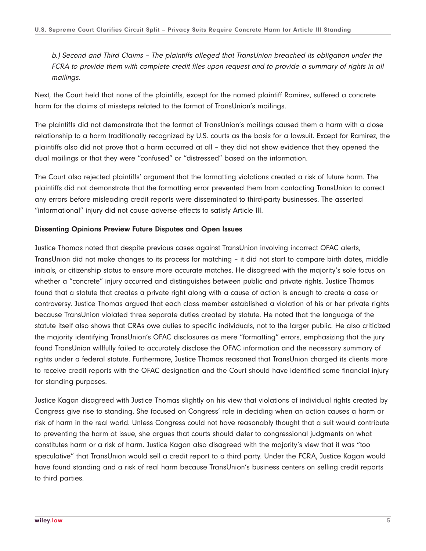b.) Second and Third Claims – The plaintiffs alleged that TransUnion breached its obligation under the FCRA to provide them with complete credit files upon request and to provide a summary of rights in all mailings.

Next, the Court held that none of the plaintiffs, except for the named plaintiff Ramirez, suffered a concrete harm for the claims of missteps related to the format of TransUnion's mailings.

The plaintiffs did not demonstrate that the format of TransUnion's mailings caused them a harm with a close relationship to a harm traditionally recognized by U.S. courts as the basis for a lawsuit. Except for Ramirez, the plaintiffs also did not prove that a harm occurred at all – they did not show evidence that they opened the dual mailings or that they were "confused" or "distressed" based on the information.

The Court also rejected plaintiffs' argument that the formatting violations created a risk of future harm. The plaintiffs did not demonstrate that the formatting error prevented them from contacting TransUnion to correct any errors before misleading credit reports were disseminated to third-party businesses. The asserted "informational" injury did not cause adverse effects to satisfy Article III.

#### **Dissenting Opinions Preview Future Disputes and Open Issues**

Justice Thomas noted that despite previous cases against TransUnion involving incorrect OFAC alerts, TransUnion did not make changes to its process for matching – it did not start to compare birth dates, middle initials, or citizenship status to ensure more accurate matches. He disagreed with the majority's sole focus on whether a "concrete" injury occurred and distinguishes between public and private rights. Justice Thomas found that a statute that creates a private right along with a cause of action is enough to create a case or controversy. Justice Thomas argued that each class member established a violation of his or her private rights because TransUnion violated three separate duties created by statute. He noted that the language of the statute itself also shows that CRAs owe duties to specific individuals, not to the larger public. He also criticized the majority identifying TransUnion's OFAC disclosures as mere "formatting" errors, emphasizing that the jury found TransUnion willfully failed to accurately disclose the OFAC information and the necessary summary of rights under a federal statute. Furthermore, Justice Thomas reasoned that TransUnion charged its clients more to receive credit reports with the OFAC designation and the Court should have identified some financial injury for standing purposes.

Justice Kagan disagreed with Justice Thomas slightly on his view that violations of individual rights created by Congress give rise to standing. She focused on Congress' role in deciding when an action causes a harm or risk of harm in the real world. Unless Congress could not have reasonably thought that a suit would contribute to preventing the harm at issue, she argues that courts should defer to congressional judgments on what constitutes harm or a risk of harm. Justice Kagan also disagreed with the majority's view that it was "too speculative" that TransUnion would sell a credit report to a third party. Under the FCRA, Justice Kagan would have found standing and a risk of real harm because TransUnion's business centers on selling credit reports to third parties.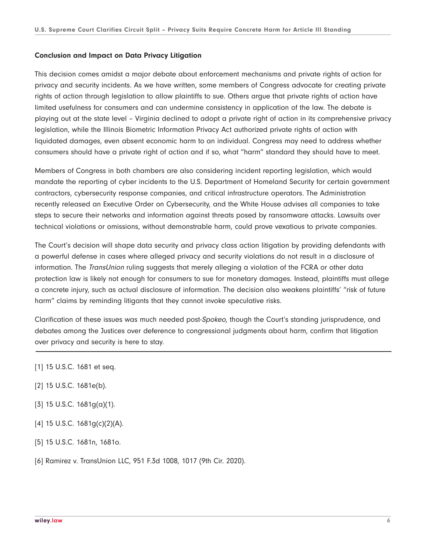#### **Conclusion and Impact on Data Privacy Litigation**

This decision comes amidst a major debate about enforcement mechanisms and private rights of action for privacy and security incidents. As we have written, some members of Congress advocate for creating private rights of action through legislation to allow plaintiffs to sue. Others argue that private rights of action have limited usefulness for consumers and can undermine consistency in application of the law. The debate is playing out at the state level – Virginia declined to adopt a private right of action in its comprehensive privacy legislation, while the Illinois Biometric Information Privacy Act authorized private rights of action with liquidated damages, even absent economic harm to an individual. Congress may need to address whether consumers should have a private right of action and if so, what "harm" standard they should have to meet.

Members of Congress in both chambers are also considering incident reporting legislation, which would mandate the reporting of cyber incidents to the U.S. Department of Homeland Security for certain government contractors, cybersecurity response companies, and critical infrastructure operators. The Administration recently released an Executive Order on Cybersecurity, and the White House advises all companies to take steps to secure their networks and information against threats posed by ransomware attacks. Lawsuits over technical violations or omissions, without demonstrable harm, could prove vexatious to private companies.

The Court's decision will shape data security and privacy class action litigation by providing defendants with a powerful defense in cases where alleged privacy and security violations do not result in a disclosure of information. The *TransUnion* ruling suggests that merely alleging a violation of the FCRA or other data protection law is likely not enough for consumers to sue for monetary damages. Instead, plaintiffs must allege a concrete injury, such as actual disclosure of information. The decision also weakens plaintiffs' "risk of future harm" claims by reminding litigants that they cannot invoke speculative risks.

Clarification of these issues was much needed post-Spokeo, though the Court's standing jurisprudence, and debates among the Justices over deference to congressional judgments about harm, confirm that litigation over privacy and security is here to stay.  $\overline{a}$ 

- [1] 15 U.S.C. 1681 et seq.
- [2] 15 U.S.C. 1681e(b).
- [3] 15 U.S.C. 1681g(a)(1).
- [4] 15 U.S.C. 1681g(c)(2)(A).
- [5] 15 U.S.C. 1681n, 1681o.
- [6] Ramirez v. TransUnion LLC, 951 F.3d 1008, 1017 (9th Cir. 2020).